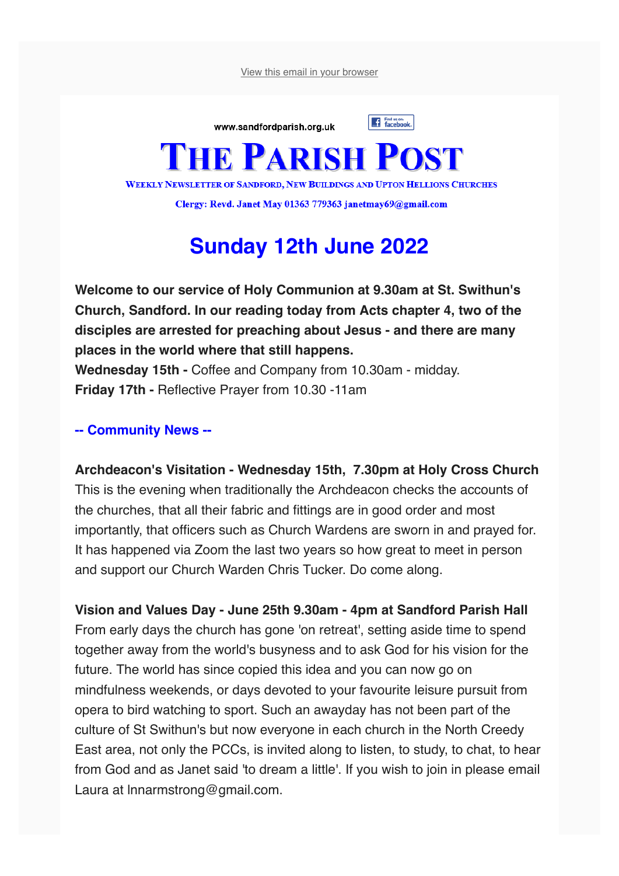View this email in your browser



**WEEKLY NEWSLETTER OF SANDFORD, NEW BUILDINGS AND UPTON HELLIONS CHURCHES** 

Clergy: Revd. Janet May 01363 779363 janetmay69@gmail.com

## **Sunday 12th June 2022**

**Welcome to our service of Holy Communion at 9.30am at St. Swithun's Church, Sandford. In our reading today from Acts chapter 4, two of the disciples are arrested for preaching about Jesus - and there are many places in the world where that still happens. Wednesday 15th -** Coffee and Company from 10.30am - midday.

**Friday 17th -** Reflective Prayer from 10.30 -11am

## **-- Community News --**

**Archdeacon's Visitation - Wednesday 15th, 7.30pm at Holy Cross Church** This is the evening when traditionally the Archdeacon checks the accounts of the churches, that all their fabric and fittings are in good order and most importantly, that officers such as Church Wardens are sworn in and prayed for. It has happened via Zoom the last two years so how great to meet in person and support our Church Warden Chris Tucker. Do come along.

**Vision and Values Day - June 25th 9.30am - 4pm at Sandford Parish Hall** From early days the church has gone 'on retreat', setting aside time to spend together away from the world's busyness and to ask God for his vision for the future. The world has since copied this idea and you can now go on mindfulness weekends, or days devoted to your favourite leisure pursuit from opera to bird watching to sport. Such an awayday has not been part of the culture of St Swithun's but now everyone in each church in the North Creedy East area, not only the PCCs, is invited along to listen, to study, to chat, to hear from God and as Janet said 'to dream a little'. If you wish to join in please email Laura at lnnarmstrong@gmail.com.